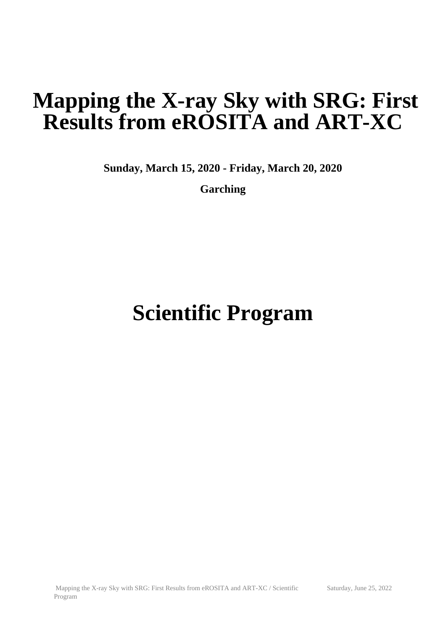# **Mapping the X-ray Sky with SRG: First Results from eROSITA and ART-XC**

**Sunday, March 15, 2020 - Friday, March 20, 2020**

**Garching**

# **Scientific Program**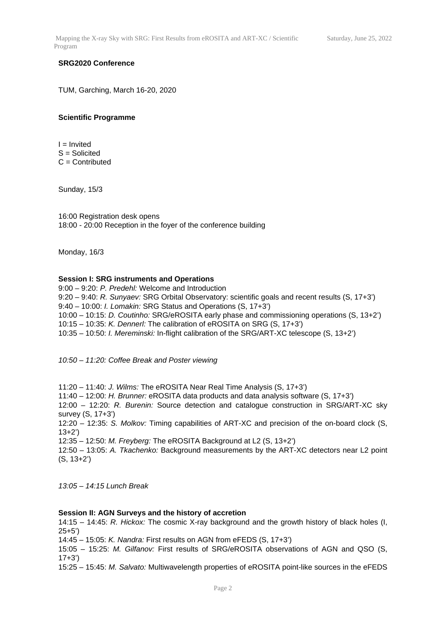# **SRG2020 Conference**

TUM, Garching, March 16-20, 2020

# **Scientific Programme**

 $I = Invited$ S = Solicited  $C =$  Contributed

Sunday, 15/3

16:00 Registration desk opens 18:00 - 20:00 Reception in the foyer of the conference building

Monday, 16/3

# **Session I: SRG instruments and Operations**

9:00 – 9:20: *P. Predehl:* Welcome and Introduction 9:20 – 9:40: *R. Sunyaev:* SRG Orbital Observatory: scientific goals and recent results (S, 17+3') 9:40 – 10:00: *I. Lomakin:* SRG Status and Operations (S, 17+3') 10:00 – 10:15: *D. Coutinho:* SRG/eROSITA early phase and commissioning operations (S, 13+2') 10:15 – 10:35: *K. Dennerl:* The calibration of eROSITA on SRG (S, 17+3') 10:35 – 10:50: *I. Mereminski:* In-flight calibration of the SRG/ART-XC telescope (S, 13+2')

*10:50 – 11:20: Coffee Break and Poster viewing*

11:20 – 11:40: *J. Wilms:* The eROSITA Near Real Time Analysis (S, 17+3') 11:40 – 12:00: *H. Brunner:* eROSITA data products and data analysis software (S, 17+3') 12:00 – 12:20: *R. Burenin:* Source detection and catalogue construction in SRG/ART-XC sky survey (S, 17+3') 12:20 – 12:35: *S. Molkov:* Timing capabilities of ART-XC and precision of the on-board clock (S, 13+2') 12:35 – 12:50: *M. Freyberg:* The eROSITA Background at L2 (S, 13+2') 12:50 – 13:05: *A. Tkachenko:* Вackground measurements by the ART-XC detectors near L2 point (S, 13+2')

*13:05 – 14:15 Lunch Break*

# **Session II: AGN Surveys and the history of accretion**

14:15 – 14:45: *R. Hickox:* The cosmic X-ray background and the growth history of black holes (I,  $25+5'$ 

14:45 – 15:05: *K. Nandra:* First results on AGN from eFEDS (S, 17+3')

15:05 – 15:25: *M. Gilfanov:* First results of SRG/eROSITA observations of AGN and QSO (S, 17+3')

15:25 – 15:45: *M. Salvato:* Multiwavelength properties of eROSITA point-like sources in the eFEDS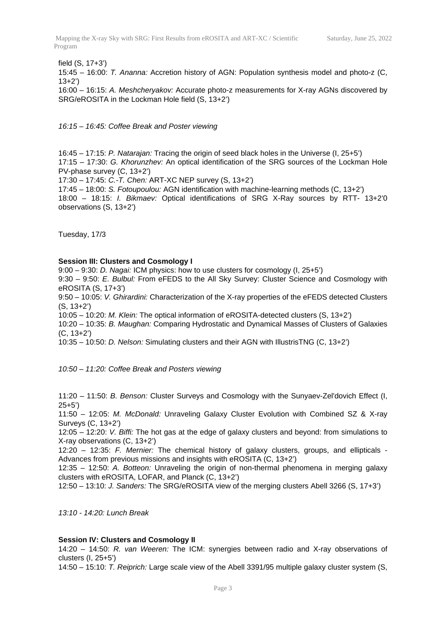field (S, 17+3')

15:45 – 16:00: *T. Ananna:* Accretion history of AGN: Population synthesis model and photo-z (C,  $13+2'$ 

16:00 – 16:15: *A. Meshcheryakov:* Accurate photo-z measurements for X-ray AGNs discovered by SRG/eROSITA in the Lockman Hole field (S, 13+2')

*16:15 – 16:45: Coffee Break and Poster viewing*

16:45 – 17:15: *P. Natarajan:* Tracing the origin of seed black holes in the Universe (I, 25+5') 17:15 – 17:30: *G. Khorunzhev:* An optical identification of the SRG sources of the Lockman Hole PV-phase survey (C, 13+2')

17:30 – 17:45: *C.-T. Chen:* ART-XC NEP survey (S, 13+2')

17:45 – 18:00: *S. Fotoupoulou:* AGN identification with machine-learning methods (C, 13+2') 18:00 – 18:15: *I. Bikmaev:* Optical identifications of SRG X-Ray sources by RTT- 13+2'0 observations (S, 13+2')

Tuesday, 17/3

### **Session III: Clusters and Cosmology I**

9:00 – 9:30: *D. Nagai:* ICM physics: how to use clusters for cosmology (I, 25+5')

9:30 – 9:50: *E. Bulbul:* From eFEDS to the All Sky Survey: Cluster Science and Cosmology with eROSITA (S, 17+3')

9:50 – 10:05: *V. Ghirardini:* Characterization of the X-ray properties of the eFEDS detected Clusters (S, 13+2')

10:05 – 10:20: *M. Klein:* The optical information of eROSITA-detected clusters (S, 13+2')

10:20 – 10:35: *B. Maughan:* Comparing Hydrostatic and Dynamical Masses of Clusters of Galaxies (C, 13+2')

10:35 – 10:50: *D. Nelson:* Simulating clusters and their AGN with IllustrisTNG (C, 13+2')

*10:50 – 11:20: Coffee Break and Posters viewing*

11:20 – 11:50: *B. Benson:* Cluster Surveys and Cosmology with the Sunyaev-Zel'dovich Effect (I, 25+5')

11:50 – 12:05: *M. McDonald:* Unraveling Galaxy Cluster Evolution with Combined SZ & X-ray Surveys (C, 13+2')

12:05 – 12:20: *V. Biffi:* The hot gas at the edge of galaxy clusters and beyond: from simulations to X-ray observations (C, 13+2')

12:20 – 12:35: *F. Mernier:* The chemical history of galaxy clusters, groups, and ellipticals - Advances from previous missions and insights with eROSITA (C, 13+2')

12:35 – 12:50: *A. Botteon:* Unraveling the origin of non-thermal phenomena in merging galaxy clusters with eROSITA, LOFAR, and Planck (C, 13+2')

12:50 – 13:10: *J. Sanders:* The SRG/eROSITA view of the merging clusters Abell 3266 (S, 17+3')

*13:10 - 14:20: Lunch Break*

# **Session IV: Clusters and Cosmology II**

14:20 – 14:50: *R. van Weeren:* The ICM: synergies between radio and X-ray observations of clusters (I, 25+5')

14:50 – 15:10: *T. Reiprich:* Large scale view of the Abell 3391/95 multiple galaxy cluster system (S,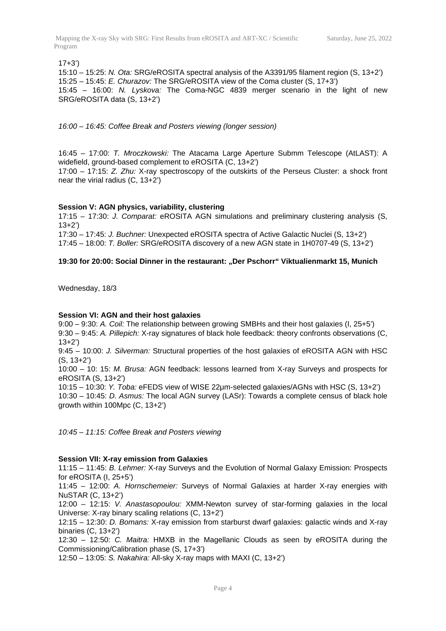Mapping the X-ray Sky with SRG: First Results from eROSITA and ART-XC / Scientific Program

 $17+3'$ 

15:10 – 15:25: *N. Ota:* SRG/eROSITA spectral analysis of the A3391/95 filament region (S, 13+2') 15:25 – 15:45: *E. Churazov:* The SRG/eROSITA view of the Coma cluster (S, 17+3') 15:45 – 16:00: *N. Lyskova:* The Coma-NGC 4839 merger scenario in the light of new SRG/eROSITA data (S, 13+2')

*16:00 – 16:45: Coffee Break and Posters viewing (longer session)*

16:45 – 17:00: *T. Mroczkowski:* The Atacama Large Aperture Submm Telescope (AtLAST): A widefield, ground-based complement to eROSITA (C, 13+2')

17:00 – 17:15: *Z. Zhu:* X-ray spectroscopy of the outskirts of the Perseus Cluster: a shock front near the virial radius (C, 13+2')

# **Session V: AGN physics, variability, clustering**

17:15 – 17:30: *J. Comparat:* eROSITA AGN simulations and preliminary clustering analysis (S,  $13+2'$ 

17:30 – 17:45: *J. Buchner:* Unexpected eROSITA spectra of Active Galactic Nuclei (S, 13+2')

17:45 – 18:00: *T. Boller:* SRG/eROSITA discovery of a new AGN state in 1H0707-49 (S, 13+2')

# **19:30 for 20:00: Social Dinner in the restaurant: "Der Pschorr" Viktualienmarkt 15, Munich**

Wednesday, 18/3

# **Session VI: AGN and their host galaxies**

9:00 – 9:30: *A. Coil:* The relationship between growing SMBHs and their host galaxies (I, 25+5') 9:30 – 9:45: *A. Pillepich:* X-ray signatures of black hole feedback: theory confronts observations (C, 13+2')

9:45 – 10:00: *J. Silverman:* Structural properties of the host galaxies of eROSITA AGN with HSC (S, 13+2')

10:00 – 10: 15: *M. Brusa:* AGN feedback: lessons learned from X-ray Surveys and prospects for eROSITA (S, 13+2')

10:15 – 10:30: *Y. Toba:* eFEDS view of WISE 22μm-selected galaxies/AGNs with HSC (S, 13+2') 10:30 – 10:45: *D. Asmus:* The local AGN survey (LASr): Towards a complete census of black hole growth within  $100Mpc$  (C,  $13+2$ )

*10:45 – 11:15: Coffee Break and Posters viewing*

# **Session VII: X-ray emission from Galaxies**

11:15 – 11:45: *B. Lehmer:* X-ray Surveys and the Evolution of Normal Galaxy Emission: Prospects for eROSITA (I, 25+5')

11:45 – 12:00: *A. Hornschemeier:* Surveys of Normal Galaxies at harder X-ray energies with NuSTAR (C, 13+2')

12:00 – 12:15: *V. Anastasopoulou:* XMM-Newton survey of star-forming galaxies in the local Universe: X-ray binary scaling relations (C, 13+2')

12:15 – 12:30: *D. Bomans:* X-ray emission from starburst dwarf galaxies: galactic winds and X-ray binaries  $(C, 13+2)$ 

12:30 – 12:50: *C. Maitra:* HMXB in the Magellanic Clouds as seen by eROSITA during the Commissioning/Calibration phase (S, 17+3')

12:50 – 13:05: *S. Nakahira:* All-sky X-ray maps with MAXI (C, 13+2')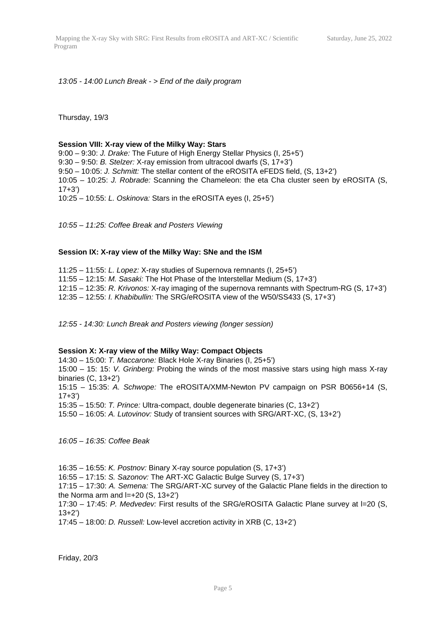*13:05 - 14:00 Lunch Break - > End of the daily program*

Thursday, 19/3

### **Session VIII: X-ray view of the Milky Way: Stars**

9:00 – 9:30: *J. Drake:* The Future of High Energy Stellar Physics (I, 25+5') 9:30 – 9:50: *B. Stelzer:* X-ray emission from ultracool dwarfs (S, 17+3') 9:50 – 10:05: *J. Schmitt:* The stellar content of the eROSITA eFEDS field, (S, 13+2') 10:05 – 10:25: *J. Robrade:* Scanning the Chameleon: the eta Cha cluster seen by eROSITA (S,  $17+3'$ 10:25 – 10:55: *L. Oskinova:* Stars in the eROSITA eyes (I, 25+5')

*10:55 – 11:25: Coffee Break and Posters Viewing*

### **Session IX: X-ray view of the Milky Way: SNe and the ISM**

11:25 – 11:55: *L. Lopez:* X-ray studies of Supernova remnants (I, 25+5') 11:55 – 12:15: *M. Sasaki:* The Hot Phase of the Interstellar Medium (S, 17+3') 12:15 – 12:35: *R. Krivonos:* X-ray imaging of the supernova remnants with Spectrum-RG (S, 17+3') 12:35 – 12:55: *I. Khabibullin:* The SRG/eROSITA view of the W50/SS433 (S, 17+3')

*12:55 - 14:30: Lunch Break and Posters viewing (longer session)*

#### **Session X: X-ray view of the Milky Way: Compact Objects**

14:30 – 15:00: *T. Maccarone:* Black Hole X-ray Binaries (I, 25+5')

15:00 – 15: 15: *V. Grinberg:* Probing the winds of the most massive stars using high mass X-ray binaries  $(C, 13+2)$ 

15:15 – 15:35: *A. Schwope:* The eROSITA/XMM-Newton PV campaign on PSR B0656+14 (S,  $17+3'$ 

15:35 – 15:50: *T. Prince:* Ultra-compact, double degenerate binaries (C, 13+2')

15:50 – 16:05: *A. Lutovinov:* Study of transient sources with SRG/ART-XC, (S, 13+2')

*16:05 – 16:35: Coffee Beak*

16:35 – 16:55: *K. Postnov:* Binary X-ray source population (S, 17+3')

16:55 – 17:15: *S. Sazonov:* The ART-XC Galactic Bulge Survey (S, 17+3')

17:15 – 17:30: *A. Semena:* The SRG/ART-XC survey of the Galactic Plane fields in the direction to the Norma arm and  $I=+20$  (S,  $13+2'$ )

17:30 – 17:45: *P. Medvedev:* First results of the SRG/eROSITA Galactic Plane survey at l=20 (S,  $13+2'$ 

17:45 – 18:00: *D. Russell:* Low-level accretion activity in XRB (C, 13+2')

Friday, 20/3